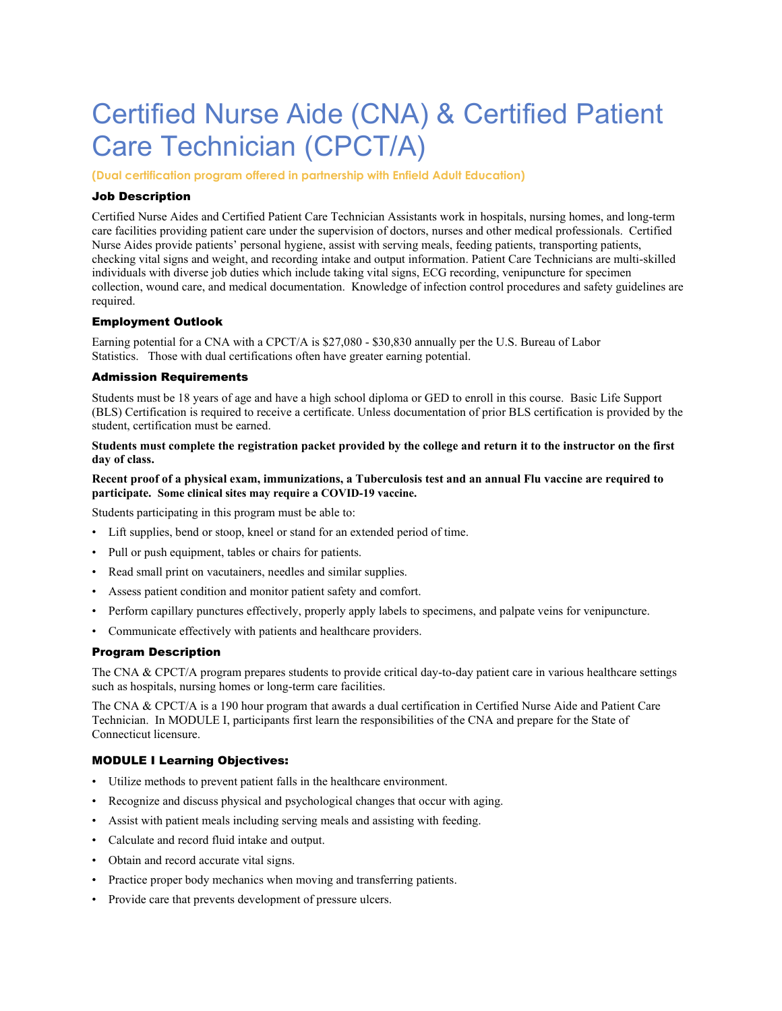# Certified Nurse Aide (CNA) & Certified Patient Care Technician (CPCT/A)

**(Dual certification program offered in partnership with Enfield Adult Education)**

# Job Description

Certified Nurse Aides and Certified Patient Care Technician Assistants work in hospitals, nursing homes, and long-term care facilities providing patient care under the supervision of doctors, nurses and other medical professionals. Certified Nurse Aides provide patients' personal hygiene, assist with serving meals, feeding patients, transporting patients, checking vital signs and weight, and recording intake and output information. Patient Care Technicians are multi-skilled individuals with diverse job duties which include taking vital signs, ECG recording, venipuncture for specimen collection, wound care, and medical documentation. Knowledge of infection control procedures and safety guidelines are required.

# Employment Outlook

Earning potential for a CNA with a CPCT/A is \$27,080 - \$30,830 annually per the U.S. Bureau of Labor Statistics. Those with dual certifications often have greater earning potential.

#### Admission Requirements

Students must be 18 years of age and have a high school diploma or GED to enroll in this course. Basic Life Support (BLS) Certification is required to receive a certificate. Unless documentation of prior BLS certification is provided by the student, certification must be earned.

### **Students must complete the registration packet provided by the college and return it to the instructor on the first day of class.**

#### **Recent proof of a physical exam, immunizations, a Tuberculosis test and an annual Flu vaccine are required to participate. Some clinical sites may require a COVID-19 vaccine.**

Students participating in this program must be able to:

- Lift supplies, bend or stoop, kneel or stand for an extended period of time.
- Pull or push equipment, tables or chairs for patients.
- Read small print on vacutainers, needles and similar supplies.
- Assess patient condition and monitor patient safety and comfort.
- Perform capillary punctures effectively, properly apply labels to specimens, and palpate veins for venipuncture.
- Communicate effectively with patients and healthcare providers.

# Program Description

The CNA & CPCT/A program prepares students to provide critical day-to-day patient care in various healthcare settings such as hospitals, nursing homes or long-term care facilities.

The CNA & CPCT/A is a 190 hour program that awards a dual certification in Certified Nurse Aide and Patient Care Technician. In MODULE I, participants first learn the responsibilities of the CNA and prepare for the State of Connecticut licensure.

#### MODULE I Learning Objectives:

- Utilize methods to prevent patient falls in the healthcare environment.
- Recognize and discuss physical and psychological changes that occur with aging.
- Assist with patient meals including serving meals and assisting with feeding.
- Calculate and record fluid intake and output.
- Obtain and record accurate vital signs.
- Practice proper body mechanics when moving and transferring patients.
- Provide care that prevents development of pressure ulcers.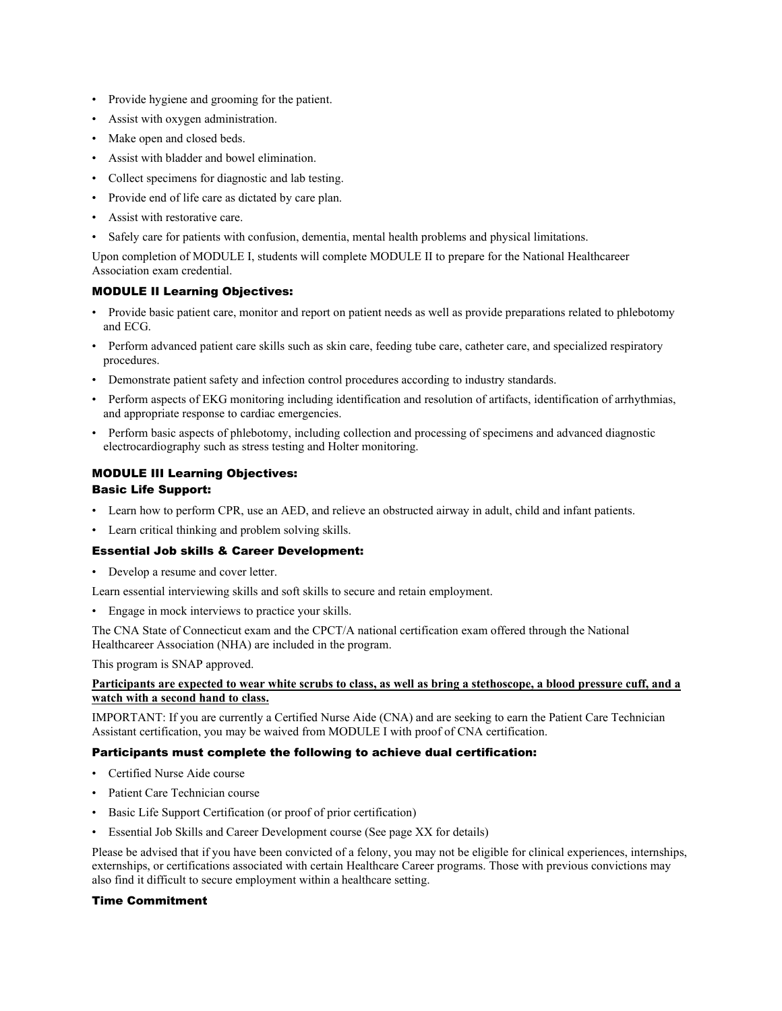- Provide hygiene and grooming for the patient.
- Assist with oxygen administration.
- Make open and closed beds.
- Assist with bladder and bowel elimination.
- Collect specimens for diagnostic and lab testing.
- Provide end of life care as dictated by care plan.
- Assist with restorative care.
- Safely care for patients with confusion, dementia, mental health problems and physical limitations.

Upon completion of MODULE I, students will complete MODULE II to prepare for the National Healthcareer Association exam credential.

# MODULE II Learning Objectives:

- Provide basic patient care, monitor and report on patient needs as well as provide preparations related to phlebotomy and ECG.
- Perform advanced patient care skills such as skin care, feeding tube care, catheter care, and specialized respiratory procedures.
- Demonstrate patient safety and infection control procedures according to industry standards.
- Perform aspects of EKG monitoring including identification and resolution of artifacts, identification of arrhythmias, and appropriate response to cardiac emergencies.
- Perform basic aspects of phlebotomy, including collection and processing of specimens and advanced diagnostic electrocardiography such as stress testing and Holter monitoring.

# MODULE III Learning Objectives:

# Basic Life Support:

- Learn how to perform CPR, use an AED, and relieve an obstructed airway in adult, child and infant patients.
- Learn critical thinking and problem solving skills.

# Essential Job skills & Career Development:

• Develop a resume and cover letter.

Learn essential interviewing skills and soft skills to secure and retain employment.

• Engage in mock interviews to practice your skills.

The CNA State of Connecticut exam and the CPCT/A national certification exam offered through the National Healthcareer Association (NHA) are included in the program.

This program is SNAP approved.

# **Participants are expected to wear white scrubs to class, as well as bring a stethoscope, a blood pressure cuff, and a watch with a second hand to class.**

IMPORTANT: If you are currently a Certified Nurse Aide (CNA) and are seeking to earn the Patient Care Technician Assistant certification, you may be waived from MODULE I with proof of CNA certification.

# Participants must complete the following to achieve dual certification:

- Certified Nurse Aide course
- Patient Care Technician course
- Basic Life Support Certification (or proof of prior certification)
- Essential Job Skills and Career Development course (See page XX for details)

Please be advised that if you have been convicted of a felony, you may not be eligible for clinical experiences, internships, externships, or certifications associated with certain Healthcare Career programs. Those with previous convictions may also find it difficult to secure employment within a healthcare setting.

## Time Commitment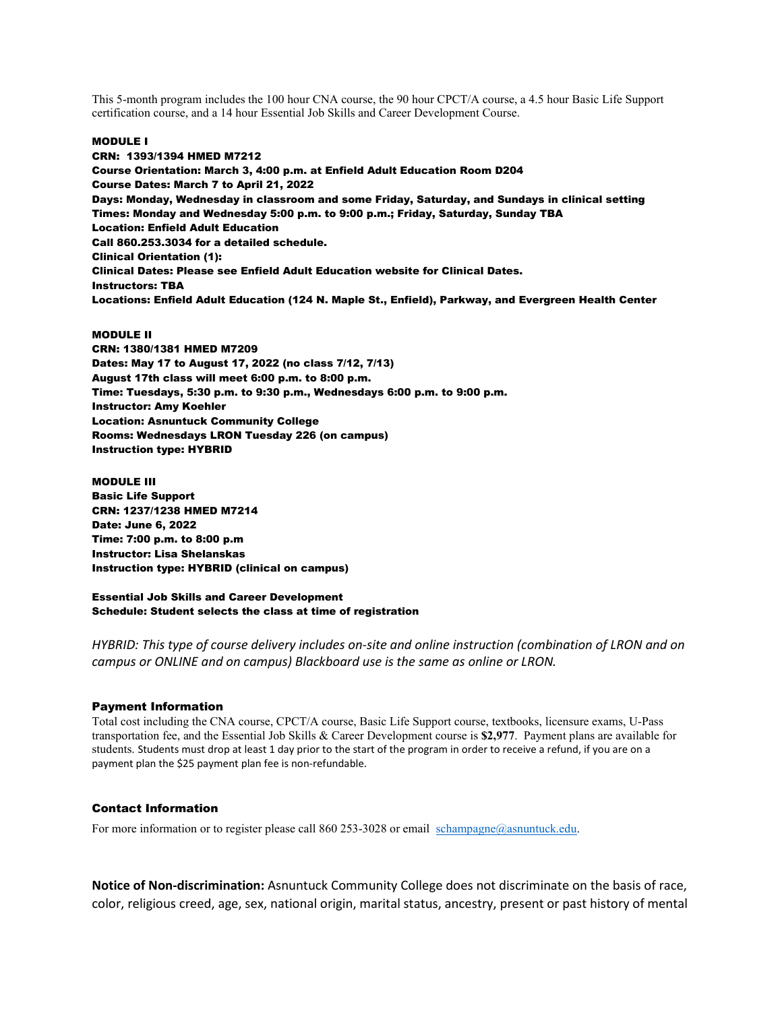This 5-month program includes the 100 hour CNA course, the 90 hour CPCT/A course, a 4.5 hour Basic Life Support certification course, and a 14 hour Essential Job Skills and Career Development Course.

#### MODULE I

CRN: 1393/1394 HMED M7212 Course Orientation: March 3, 4:00 p.m. at Enfield Adult Education Room D204 Course Dates: March 7 to April 21, 2022 Days: Monday, Wednesday in classroom and some Friday, Saturday, and Sundays in clinical setting Times: Monday and Wednesday 5:00 p.m. to 9:00 p.m.; Friday, Saturday, Sunday TBA Location: Enfield Adult Education Call 860.253.3034 for a detailed schedule. Clinical Orientation (1): Clinical Dates: Please see Enfield Adult Education website for Clinical Dates. Instructors: TBA Locations: Enfield Adult Education (124 N. Maple St., Enfield), Parkway, and Evergreen Health Center

#### MODULE II

CRN: 1380/1381 HMED M7209 Dates: May 17 to August 17, 2022 (no class 7/12, 7/13) August 17th class will meet 6:00 p.m. to 8:00 p.m. Time: Tuesdays, 5:30 p.m. to 9:30 p.m., Wednesdays 6:00 p.m. to 9:00 p.m. Instructor: Amy Koehler Location: Asnuntuck Community College Rooms: Wednesdays LRON Tuesday 226 (on campus) Instruction type: HYBRID

#### MODULE III

Basic Life Support CRN: 1237/1238 HMED M7214 Date: June 6, 2022 Time: 7:00 p.m. to 8:00 p.m Instructor: Lisa Shelanskas Instruction type: HYBRID (clinical on campus)

## Essential Job Skills and Career Development Schedule: Student selects the class at time of registration

*HYBRID: This type of course delivery includes on-site and online instruction (combination of LRON and on campus or ONLINE and on campus) Blackboard use is the same as online or LRON.*

#### Payment Information

Total cost including the CNA course, CPCT/A course, Basic Life Support course, textbooks, licensure exams, U-Pass transportation fee, and the Essential Job Skills & Career Development course is **\$2,977**. Payment plans are available for students. Students must drop at least 1 day prior to the start of the program in order to receive a refund, if you are on a payment plan the \$25 payment plan fee is non-refundable.

#### Contact Information

For more information or to register please call 860 253-3028 or email [schampagne@asnuntuck.edu.](mailto:schampagne@asnuntuck.edu)

**Notice of Non-discrimination:** Asnuntuck Community College does not discriminate on the basis of race, color, religious creed, age, sex, national origin, marital status, ancestry, present or past history of mental